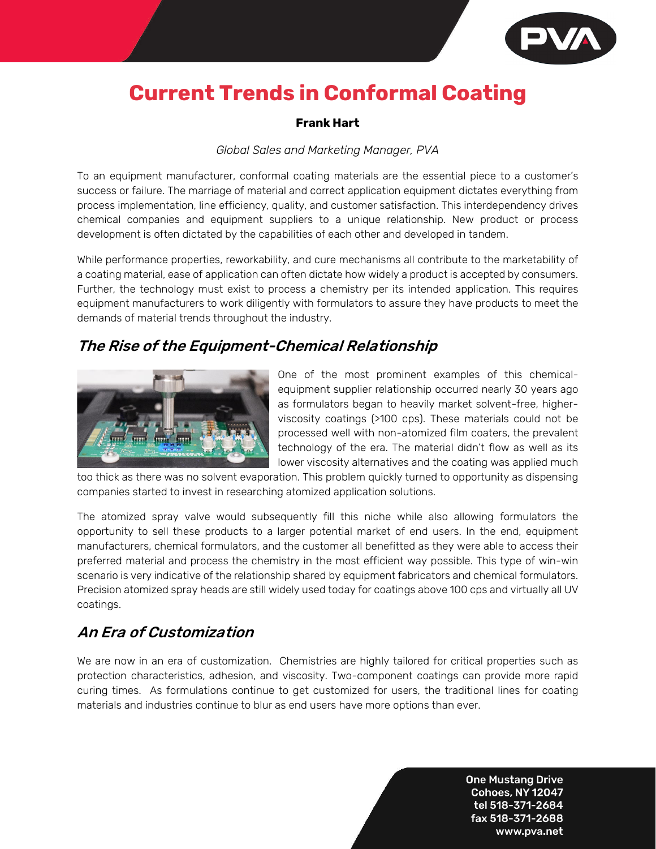

# **Current Trends in Conformal Coating**

#### **Frank Hart**

#### *Global Sales and Marketing Manager, PVA*

To an equipment manufacturer, conformal coating materials are the essential piece to a customer's success or failure. The marriage of material and correct application equipment dictates everything from process implementation, line efficiency, quality, and customer satisfaction. This interdependency drives chemical companies and equipment suppliers to a unique relationship. New product or process development is often dictated by the capabilities of each other and developed in tandem.

While performance properties, reworkability, and cure mechanisms all contribute to the marketability of a coating material, ease of application can often dictate how widely a product is accepted by consumers. Further, the technology must exist to process a chemistry per its intended application. This requires equipment manufacturers to work diligently with formulators to assure they have products to meet the demands of material trends throughout the industry.

## The Rise of the Equipment-Chemical Relationship



One of the most prominent examples of this chemicalequipment supplier relationship occurred nearly 30 years ago as formulators began to heavily market solvent-free, higherviscosity coatings (>100 cps). These materials could not be processed well with non-atomized film coaters, the prevalent technology of the era. The material didn't flow as well as its lower viscosity alternatives and the coating was applied much

too thick as there was no solvent evaporation. This problem quickly turned to opportunity as dispensing companies started to invest in researching atomized application solutions.

The atomized spray valve would subsequently fill this niche while also allowing formulators the opportunity to sell these products to a larger potential market of end users. In the end, equipment manufacturers, chemical formulators, and the customer all benefitted as they were able to access their preferred material and process the chemistry in the most efficient way possible. This type of win-win scenario is very indicative of the relationship shared by equipment fabricators and chemical formulators. Precision atomized spray heads are still widely used today for coatings above 100 cps and virtually all UV coatings.

## An Era of Customization

We are now in an era of customization. Chemistries are highly tailored for critical properties such as protection characteristics, adhesion, and viscosity. Two-component coatings can provide more rapid curing times. As formulations continue to get customized for users, the traditional lines for coating materials and industries continue to blur as end users have more options than ever.

> **One Mustang Drive Cohoes, NY 12047** tel 518-371-2684 fax 518-371-2688 www.pva.net